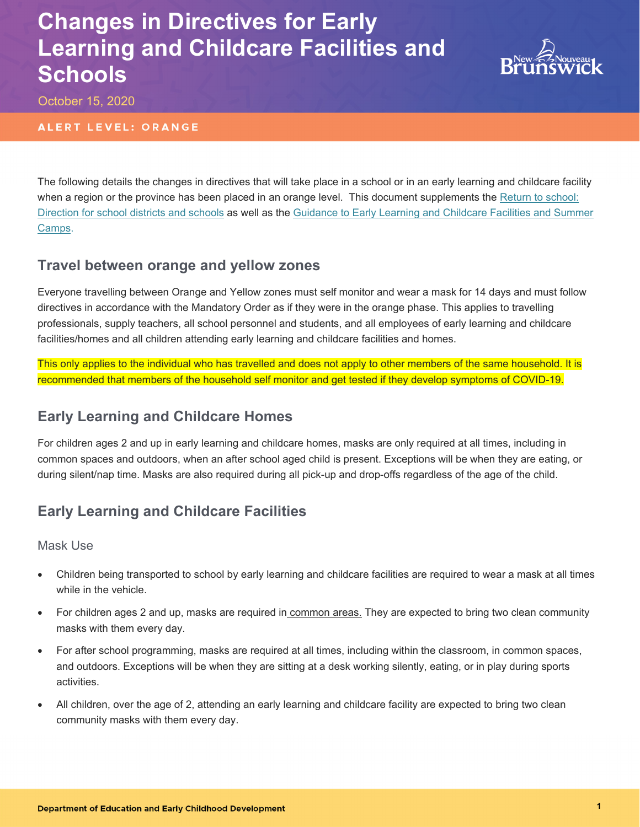# **Changes in Directives for Early Learning and Childcare Facilities and Schools**



October 15, 2020

#### **ALERT LEVEL: ORANGE**

The following details the changes in directives that will take place in a school or in an early learning and childcare facility when a region or the province has been placed in an orange level. This document supplements the Return to school: Direction for school districts and schools as well as the Guidance to Early Learning and Childcare Facilities and Summer Camps.

### **Travel between orange and yellow zones**

Everyone travelling between Orange and Yellow zones must self monitor and wear a mask for 14 days and must follow directives in accordance with the Mandatory Order as if they were in the orange phase. This applies to travelling professionals, supply teachers, all school personnel and students, and all employees of early learning and childcare facilities/homes and all children attending early learning and childcare facilities and homes.

This only applies to the individual who has travelled and does not apply to other members of the same household. It is recommended that members of the household self monitor and get tested if they develop symptoms of COVID-19.

### **Early Learning and Childcare Homes**

For children ages 2 and up in early learning and childcare homes, masks are only required at all times, including in common spaces and outdoors, when an after school aged child is present. Exceptions will be when they are eating, or during silent/nap time. Masks are also required during all pick-up and drop-offs regardless of the age of the child.

## **Early Learning and Childcare Facilities**

Mask Use

- Children being transported to school by early learning and childcare facilities are required to wear a mask at all times while in the vehicle.
- For children ages 2 and up, masks are required in common areas. They are expected to bring two clean community masks with them every day.
- For after school programming, masks are required at all times, including within the classroom, in common spaces, and outdoors. Exceptions will be when they are sitting at a desk working silently, eating, or in play during sports activities.
- All children, over the age of 2, attending an early learning and childcare facility are expected to bring two clean community masks with them every day.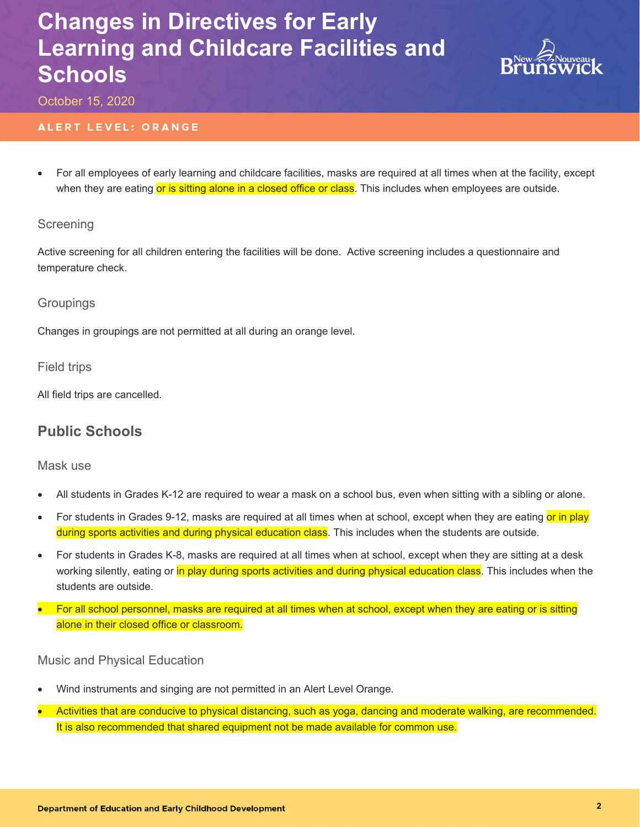# **Changes in Directives for Early Learning and Childcare Facilities and Schools**



October 15, 2020

#### **ALERT LEVEL: ORANGE**

 For all employees of early learning and childcare facilities, masks are required at all times when at the facility, except when they are eating or is sitting alone in a closed office or class. This includes when employees are outside.

#### **Screening**

Active screening for all children entering the facilities will be done. Active screening includes a questionnaire and temperature check.

#### **Groupings**

Changes in groupings are not permitted at all during an orange level.

Field trips

All field trips are cancelled.

### **Public Schools**

#### Mask use

- All students in Grades K-12 are required to wear a mask on a school bus, even when sitting with a sibling or alone.
- For students in Grades 9-12, masks are required at all times when at school, except when they are eating or in play during sports activities and during physical education class. This includes when the students are outside.
- For students in Grades K-8, masks are required at all times when at school, except when they are sitting at a desk working silently, eating or in play during sports activities and during physical education class. This includes when the students are outside.
- For all school personnel, masks are required at all times when at school, except when they are eating or is sitting alone in their closed office or classroom.

#### Music and Physical Education

- Wind instruments and singing are not permitted in an Alert Level Orange.
- Activities that are conducive to physical distancing, such as yoga, dancing and moderate walking, are recommended. It is also recommended that shared equipment not be made available for common use.